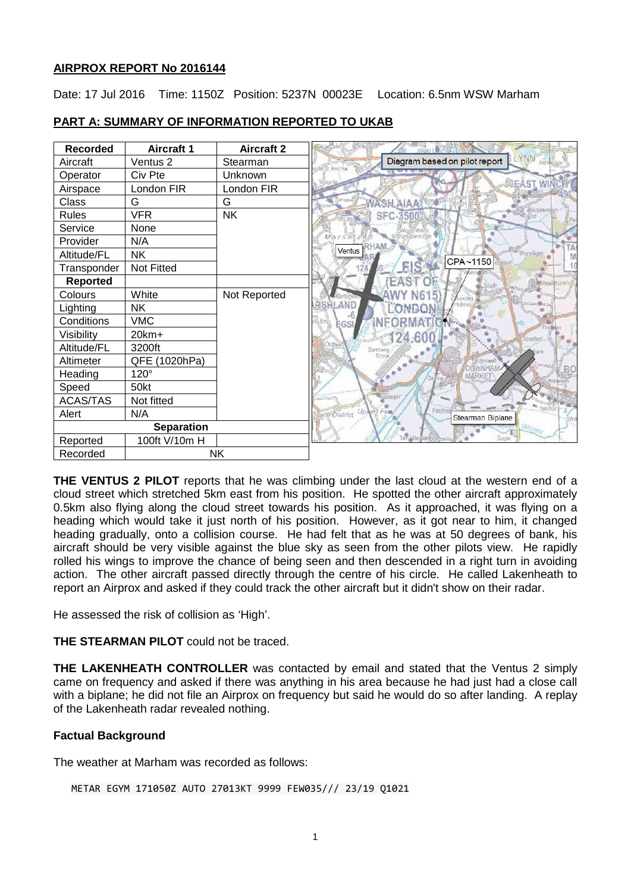# **AIRPROX REPORT No 2016144**

Date: 17 Jul 2016 Time: 1150Z Position: 5237N 00023E Location: 6.5nm WSW Marham

| <b>Recorded</b>   | <b>Aircraft 1</b> | <b>Aircraft 2</b> |                                                               |
|-------------------|-------------------|-------------------|---------------------------------------------------------------|
| Aircraft          | Ventus 2          | Stearman          | YNN Asridiae<br>Diagram based on pilot report<br>de S. Ancrea |
| Operator          | Civ Pte           | Unknown           |                                                               |
| Airspace          | London FIR        | London FIR        | <b>REAST WIN</b>                                              |
| Class             | G                 | G                 | WASH AIAA                                                     |
| <b>Rules</b>      | <b>VFR</b>        | <b>NK</b>         | d diackboroust<br>SFC-3500                                    |
| Service           | None              |                   |                                                               |
| Provider          | N/A               |                   | $B \cap S \cap$                                               |
| Altitude/FL       | <b>NK</b>         |                   | Ventus<br>Woration,<br>CPA~1150                               |
| Transponder       | Not Fitted        |                   |                                                               |
| <b>Reported</b>   |                   |                   | EAS:                                                          |
| Colours           | White             | Not Reported      |                                                               |
| Lighting          | <b>NK</b>         |                   | <b>RSHLAND</b>                                                |
| Conditions        | <b>VMC</b>        |                   | EGSI                                                          |
| Visibility        | 20km+             |                   |                                                               |
| Altitude/FL       | 3200ft            |                   |                                                               |
| Altimeter         | QFE (1020hPa)     |                   | <b>GWAHAM</b>                                                 |
| Heading           | $120^\circ$       |                   |                                                               |
| Speed             | 50kt              |                   |                                                               |
| <b>ACAS/TAS</b>   | Not fitted        |                   |                                                               |
| Alert             | N/A               |                   | Fordb<br><b>District Up Nell</b><br>Stearman Biplane          |
| <b>Separation</b> |                   |                   |                                                               |
| Reported          | 100ft V/10m H     |                   | Súcár                                                         |
| Recorded          | NΚ                |                   |                                                               |

# **PART A: SUMMARY OF INFORMATION REPORTED TO UKAB**

**THE VENTUS 2 PILOT** reports that he was climbing under the last cloud at the western end of a cloud street which stretched 5km east from his position. He spotted the other aircraft approximately 0.5km also flying along the cloud street towards his position. As it approached, it was flying on a heading which would take it just north of his position. However, as it got near to him, it changed heading gradually, onto a collision course. He had felt that as he was at 50 degrees of bank, his aircraft should be very visible against the blue sky as seen from the other pilots view. He rapidly rolled his wings to improve the chance of being seen and then descended in a right turn in avoiding action. The other aircraft passed directly through the centre of his circle. He called Lakenheath to report an Airprox and asked if they could track the other aircraft but it didn't show on their radar.

He assessed the risk of collision as 'High'.

**THE STEARMAN PILOT** could not be traced.

**THE LAKENHEATH CONTROLLER** was contacted by email and stated that the Ventus 2 simply came on frequency and asked if there was anything in his area because he had just had a close call with a biplane; he did not file an Airprox on frequency but said he would do so after landing. A replay of the Lakenheath radar revealed nothing.

# **Factual Background**

The weather at Marham was recorded as follows:

```
METAR EGYM 171050Z AUTO 27013KT 9999 FEW035/// 23/19 Q1021
```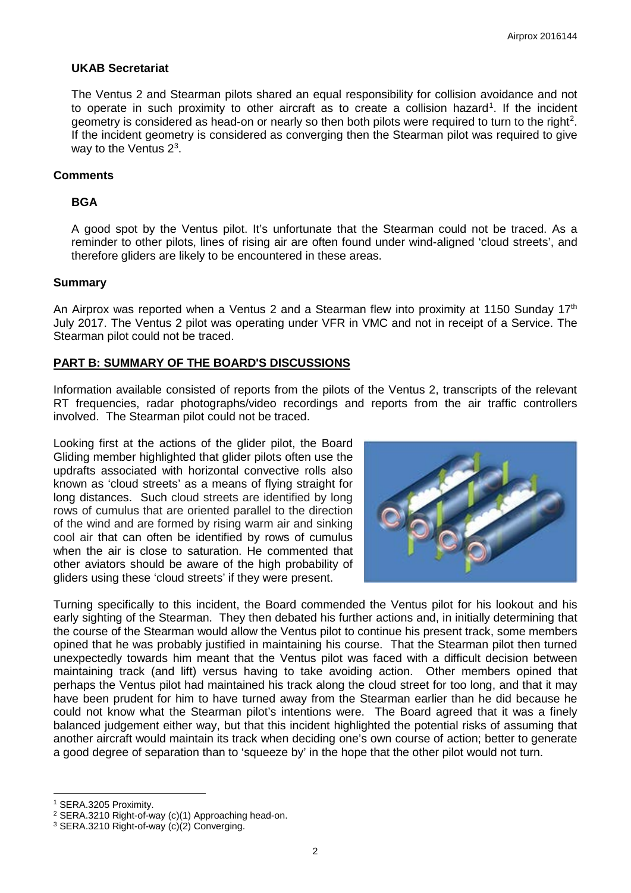## **UKAB Secretariat**

The Ventus 2 and Stearman pilots shared an equal responsibility for collision avoidance and not to operate in such proximity to other aircraft as to create a collision hazard<sup>[1](#page-1-0)</sup>. If the incident geometry is considered as head-on or nearly so then both pilots were required to turn to the right<sup>[2](#page-1-1)</sup>. If the incident geometry is considered as converging then the Stearman pilot was required to give way to the Ventus  $2<sup>3</sup>$  $2<sup>3</sup>$  $2<sup>3</sup>$ .

#### **Comments**

## **BGA**

A good spot by the Ventus pilot. It's unfortunate that the Stearman could not be traced. As a reminder to other pilots, lines of rising air are often found under wind-aligned 'cloud streets', and therefore gliders are likely to be encountered in these areas.

#### **Summary**

An Airprox was reported when a Ventus 2 and a Stearman flew into proximity at 1150 Sunday 17<sup>th</sup> July 2017. The Ventus 2 pilot was operating under VFR in VMC and not in receipt of a Service. The Stearman pilot could not be traced.

#### **PART B: SUMMARY OF THE BOARD'S DISCUSSIONS**

Information available consisted of reports from the pilots of the Ventus 2, transcripts of the relevant RT frequencies, radar photographs/video recordings and reports from the air traffic controllers involved. The Stearman pilot could not be traced.

Looking first at the actions of the glider pilot, the Board Gliding member highlighted that glider pilots often use the updrafts associated with horizontal convective rolls also known as 'cloud streets' as a means of flying straight for long distances. Such cloud streets are identified by long rows of cumulus that are oriented parallel to the direction of the wind and are formed by rising warm air and sinking cool air that can often be identified by rows of cumulus when the air is close to saturation. He commented that other aviators should be aware of the high probability of gliders using these 'cloud streets' if they were present.



Turning specifically to this incident, the Board commended the Ventus pilot for his lookout and his early sighting of the Stearman. They then debated his further actions and, in initially determining that the course of the Stearman would allow the Ventus pilot to continue his present track, some members opined that he was probably justified in maintaining his course. That the Stearman pilot then turned unexpectedly towards him meant that the Ventus pilot was faced with a difficult decision between maintaining track (and lift) versus having to take avoiding action. Other members opined that perhaps the Ventus pilot had maintained his track along the cloud street for too long, and that it may have been prudent for him to have turned away from the Stearman earlier than he did because he could not know what the Stearman pilot's intentions were. The Board agreed that it was a finely balanced judgement either way, but that this incident highlighted the potential risks of assuming that another aircraft would maintain its track when deciding one's own course of action; better to generate a good degree of separation than to 'squeeze by' in the hope that the other pilot would not turn.

 $\overline{\phantom{a}}$ 

<span id="page-1-0"></span><sup>1</sup> SERA.3205 Proximity.

<span id="page-1-1"></span><sup>2</sup> SERA.3210 Right-of-way (c)(1) Approaching head-on.

<span id="page-1-2"></span><sup>3</sup> SERA.3210 Right-of-way (c)(2) Converging.